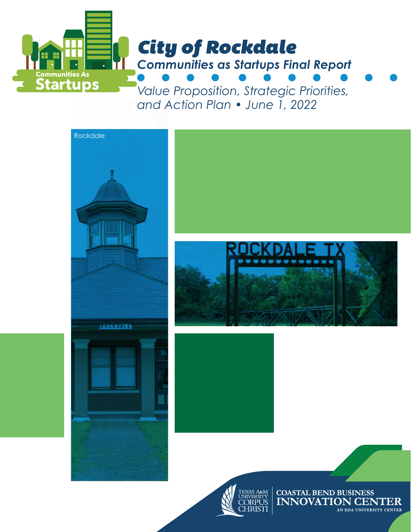

*and Action Plan • June 1, 2022*



**CHRISTI** 

AN EDA UNIVERSITY CENTER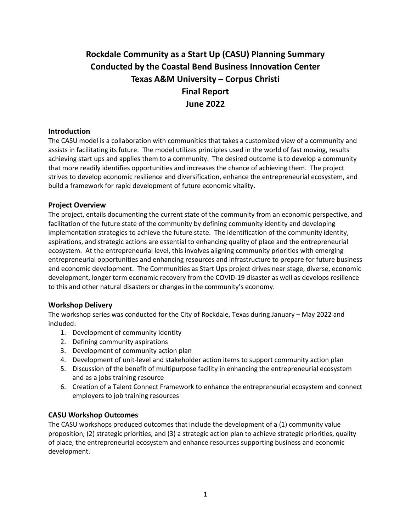# **Rockdale Community as a Start Up (CASU) Planning Summary Conducted by the Coastal Bend Business Innovation Center Texas A&M University – Corpus Christi Final Report June 2022**

### **Introduction**

The CASU model is a collaboration with communities that takes a customized view of a community and assists in facilitating its future. The model utilizes principles used in the world of fast moving, results achieving start ups and applies them to a community. The desired outcome is to develop a community that more readily identifies opportunities and increases the chance of achieving them. The project strives to develop economic resilience and diversification, enhance the entrepreneurial ecosystem, and build a framework for rapid development of future economic vitality.

### **Project Overview**

The project, entails documenting the current state of the community from an economic perspective, and facilitation of the future state of the community by defining community identity and developing implementation strategies to achieve the future state. The identification of the community identity, aspirations, and strategic actions are essential to enhancing quality of place and the entrepreneurial ecosystem. At the entrepreneurial level, this involves aligning community priorities with emerging entrepreneurial opportunities and enhancing resources and infrastructure to prepare for future business and economic development. The Communities as Start Ups project drives near stage, diverse, economic development, longer term economic recovery from the COVID-19 disaster as well as develops resilience to this and other natural disasters or changes in the community's economy.

### **Workshop Delivery**

The workshop series was conducted for the City of Rockdale, Texas during January – May 2022 and included:

- 1. Development of community identity
- 2. Defining community aspirations
- 3. Development of community action plan
- 4. Development of unit-level and stakeholder action items to support community action plan
- 5. Discussion of the benefit of multipurpose facility in enhancing the entrepreneurial ecosystem and as a jobs training resource
- 6. Creation of a Talent Connect Framework to enhance the entrepreneurial ecosystem and connect employers to job training resources

# **CASU Workshop Outcomes**

The CASU workshops produced outcomes that include the development of a (1) community value proposition, (2) strategic priorities, and (3) a strategic action plan to achieve strategic priorities, quality of place, the entrepreneurial ecosystem and enhance resources supporting business and economic development.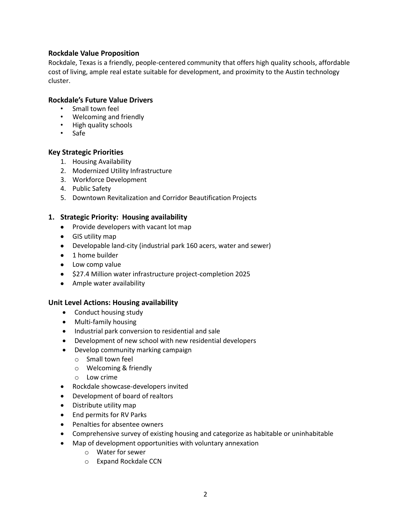### **Rockdale Value Proposition**

Rockdale, Texas is a friendly, people-centered community that offers high quality schools, affordable cost of living, ample real estate suitable for development, and proximity to the Austin technology cluster.

### **Rockdale's Future Value Drivers**

- Small town feel
- Welcoming and friendly
- High quality schools
- Safe

### **Key Strategic Priorities**

- 1. Housing Availability
- 2. Modernized Utility Infrastructure
- 3. Workforce Development
- 4. Public Safety
- 5. Downtown Revitalization and Corridor Beautification Projects

### **1. Strategic Priority: Housing availability**

- Provide developers with vacant lot map
- GIS utility map
- Developable land-city (industrial park 160 acers, water and sewer)
- 1 home builder
- Low comp value
- \$27.4 Million water infrastructure project-completion 2025
- Ample water availability

### **Unit Level Actions: Housing availability**

- Conduct housing study
- Multi-family housing
- Industrial park conversion to residential and sale
- Development of new school with new residential developers
- Develop community marking campaign
	- o Small town feel
	- o Welcoming & friendly
	- o Low crime
- Rockdale showcase-developers invited
- Development of board of realtors
- Distribute utility map
- End permits for RV Parks
- Penalties for absentee owners
- Comprehensive survey of existing housing and categorize as habitable or uninhabitable
- Map of development opportunities with voluntary annexation
	- o Water for sewer
	- o Expand Rockdale CCN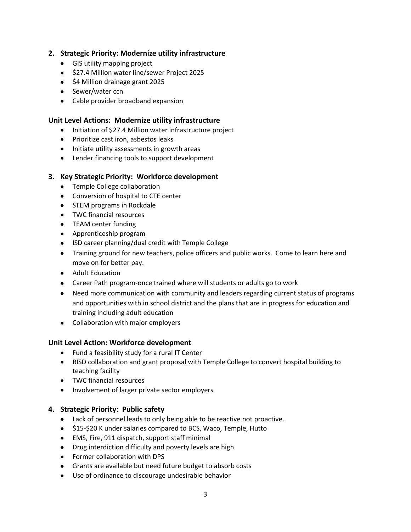# **2. Strategic Priority: Modernize utility infrastructure**

- GIS utility mapping project
- \$27.4 Million water line/sewer Project 2025
- \$4 Million drainage grant 2025
- Sewer/water ccn
- Cable provider broadband expansion

### **Unit Level Actions: Modernize utility infrastructure**

- Initiation of \$27.4 Million water infrastructure project
- Prioritize cast iron, asbestos leaks
- Initiate utility assessments in growth areas
- Lender financing tools to support development

# **3. Key Strategic Priority: Workforce development**

- Temple College collaboration
- Conversion of hospital to CTE center
- STEM programs in Rockdale
- TWC financial resources
- TEAM center funding
- Apprenticeship program
- ISD career planning/dual credit with Temple College
- Training ground for new teachers, police officers and public works. Come to learn here and move on for better pay.
- Adult Education
- Career Path program-once trained where will students or adults go to work
- Need more communication with community and leaders regarding current status of programs and opportunities with in school district and the plans that are in progress for education and training including adult education
- Collaboration with major employers

### **Unit Level Action: Workforce development**

- Fund a feasibility study for a rural IT Center
- RISD collaboration and grant proposal with Temple College to convert hospital building to teaching facility
- TWC financial resources
- Involvement of larger private sector employers

### **4. Strategic Priority: Public safety**

- Lack of personnel leads to only being able to be reactive not proactive.
- \$15-\$20 K under salaries compared to BCS, Waco, Temple, Hutto
- EMS, Fire, 911 dispatch, support staff minimal
- Drug interdiction difficulty and poverty levels are high
- Former collaboration with DPS
- Grants are available but need future budget to absorb costs
- Use of ordinance to discourage undesirable behavior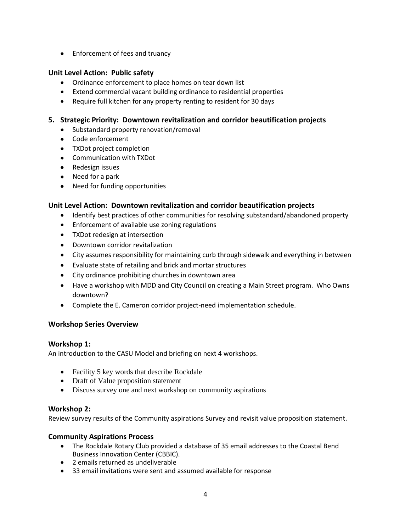• Enforcement of fees and truancy

# **Unit Level Action: Public safety**

- Ordinance enforcement to place homes on tear down list
- Extend commercial vacant building ordinance to residential properties
- Require full kitchen for any property renting to resident for 30 days

# **5. Strategic Priority: Downtown revitalization and corridor beautification projects**

- Substandard property renovation/removal
- Code enforcement
- TXDot project completion
- Communication with TXDot
- Redesign issues
- Need for a park
- Need for funding opportunities

# **Unit Level Action: Downtown revitalization and corridor beautification projects**

- Identify best practices of other communities for resolving substandard/abandoned property
- Enforcement of available use zoning regulations
- TXDot redesign at intersection
- Downtown corridor revitalization
- City assumes responsibility for maintaining curb through sidewalk and everything in between
- Evaluate state of retailing and brick and mortar structures
- City ordinance prohibiting churches in downtown area
- Have a workshop with MDD and City Council on creating a Main Street program. Who Owns downtown?
- Complete the E. Cameron corridor project-need implementation schedule.

# **Workshop Series Overview**

# **Workshop 1:**

An introduction to the CASU Model and briefing on next 4 workshops.

- Facility 5 key words that describe Rockdale
- Draft of Value proposition statement
- Discuss survey one and next workshop on community aspirations

# **Workshop 2:**

Review survey results of the Community aspirations Survey and revisit value proposition statement.

# **Community Aspirations Process**

- The Rockdale Rotary Club provided a database of 35 email addresses to the Coastal Bend Business Innovation Center (CBBIC).
- 2 emails returned as undeliverable
- 33 email invitations were sent and assumed available for response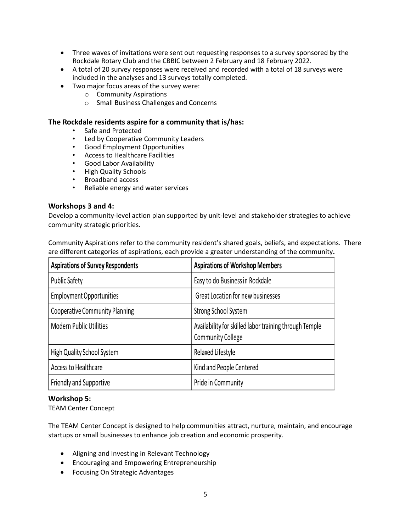- Three waves of invitations were sent out requesting responses to a survey sponsored by the Rockdale Rotary Club and the CBBIC between 2 February and 18 February 2022.
- A total of 20 survey responses were received and recorded with a total of 18 surveys were included in the analyses and 13 surveys totally completed.
- Two major focus areas of the survey were:
	- o Community Aspirations
	- o Small Business Challenges and Concerns

### **The Rockdale residents aspire for a community that is/has:**

- Safe and Protected
- Led by Cooperative Community Leaders
- Good Employment Opportunities
- Access to Healthcare Facilities
- Good Labor Availability
- High Quality Schools
- Broadband access
- Reliable energy and water services

### **Workshops 3 and 4:**

Develop a community-level action plan supported by unit-level and stakeholder strategies to achieve community strategic priorities.

Community Aspirations refer to the community resident's shared goals, beliefs, and expectations. There are different categories of aspirations, each provide a greater understanding of the community**.** 

| <b>Aspirations of Survey Respondents</b> | <b>Aspirations of Workshop Members</b>                                             |
|------------------------------------------|------------------------------------------------------------------------------------|
| <b>Public Safety</b>                     | Easy to do Business in Rockdale                                                    |
| <b>Employment Opportunities</b>          | Great Location for new businesses                                                  |
| <b>Cooperative Community Planning</b>    | Strong School System                                                               |
| <b>Modern Public Utilities</b>           | Availability for skilled labor training through Temple<br><b>Community College</b> |
| High Quality School System               | Relaxed Lifestyle                                                                  |
| Access to Healthcare                     | Kind and People Centered                                                           |
| Friendly and Supportive                  | Pride in Community                                                                 |

# **Workshop 5:**

TEAM Center Concept

The TEAM Center Concept is designed to help communities attract, nurture, maintain, and encourage startups or small businesses to enhance job creation and economic prosperity.

- Aligning and Investing in Relevant Technology
- Encouraging and Empowering Entrepreneurship
- Focusing On Strategic Advantages